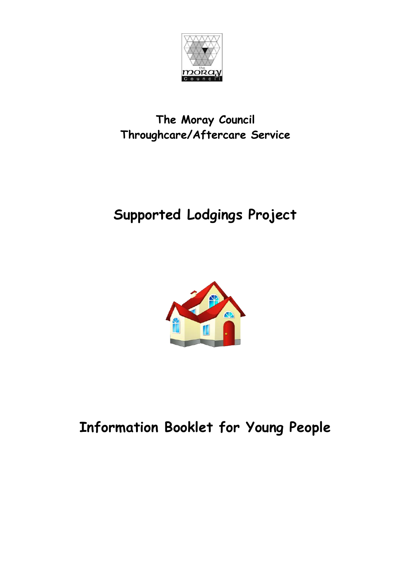

#### **The Moray Council Throughcare/Aftercare Service**

# **Supported Lodgings Project**



## **Information Booklet for Young People**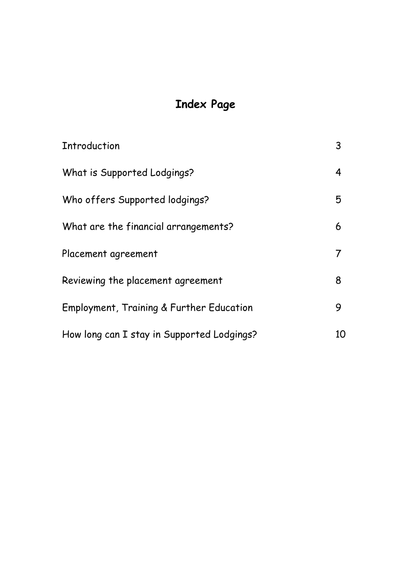## **Index Page**

| Introduction                               | 3  |
|--------------------------------------------|----|
| What is Supported Lodgings?                | 4  |
| Who offers Supported lodgings?             | 5  |
| What are the financial arrangements?       | 6  |
| Placement agreement                        |    |
| Reviewing the placement agreement          | 8  |
| Employment, Training & Further Education   | 9  |
| How long can I stay in Supported Lodgings? | 10 |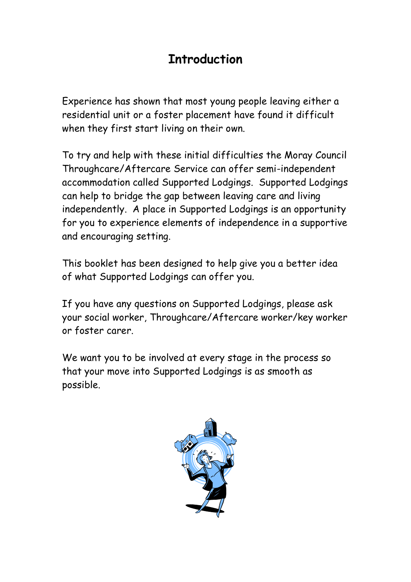## **Introduction**

Experience has shown that most young people leaving either a residential unit or a foster placement have found it difficult when they first start living on their own.

To try and help with these initial difficulties the Moray Council Throughcare/Aftercare Service can offer semi-independent accommodation called Supported Lodgings. Supported Lodgings can help to bridge the gap between leaving care and living independently. A place in Supported Lodgings is an opportunity for you to experience elements of independence in a supportive and encouraging setting.

This booklet has been designed to help give you a better idea of what Supported Lodgings can offer you.

If you have any questions on Supported Lodgings, please ask your social worker, Throughcare/Aftercare worker/key worker or foster carer.

We want you to be involved at every stage in the process so that your move into Supported Lodgings is as smooth as possible.

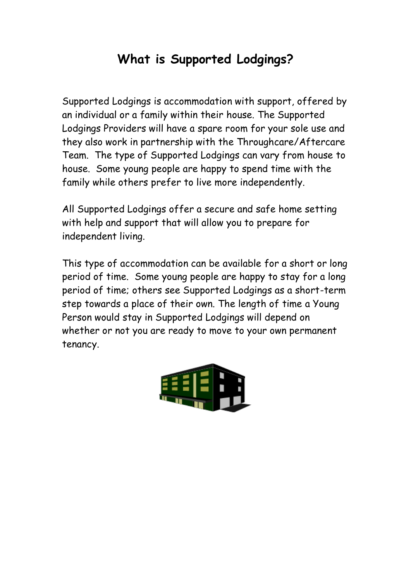## **What is Supported Lodgings?**

Supported Lodgings is accommodation with support, offered by an individual or a family within their house. The Supported Lodgings Providers will have a spare room for your sole use and they also work in partnership with the Throughcare/Aftercare Team. The type of Supported Lodgings can vary from house to house. Some young people are happy to spend time with the family while others prefer to live more independently.

All Supported Lodgings offer a secure and safe home setting with help and support that will allow you to prepare for independent living.

This type of accommodation can be available for a short or long period of time. Some young people are happy to stay for a long period of time; others see Supported Lodgings as a short-term step towards a place of their own. The length of time a Young Person would stay in Supported Lodgings will depend on whether or not you are ready to move to your own permanent tenancy.

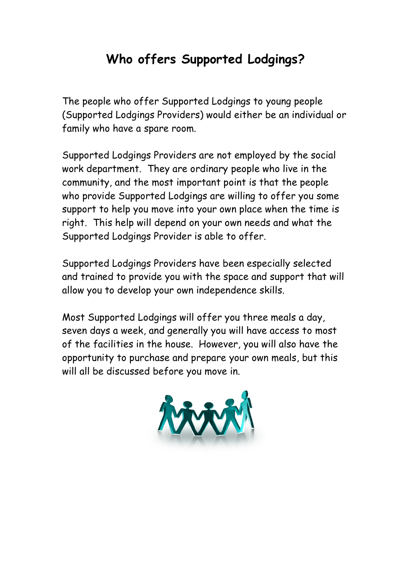## **Who offers Supported Lodgings?**

The people who offer Supported Lodgings to young people (Supported Lodgings Providers) would either be an individual or family who have a spare room.

Supported Lodgings Providers are not employed by the social work department. They are ordinary people who live in the community, and the most important point is that the people who provide Supported Lodgings are willing to offer you some support to help you move into your own place when the time is right. This help will depend on your own needs and what the Supported Lodgings Provider is able to offer.

Supported Lodgings Providers have been especially selected and trained to provide you with the space and support that will allow you to develop your own independence skills.

Most Supported Lodgings will offer you three meals a day, seven days a week, and generally you will have access to most of the facilities in the house. However, you will also have the opportunity to purchase and prepare your own meals, but this will all be discussed before you move in.

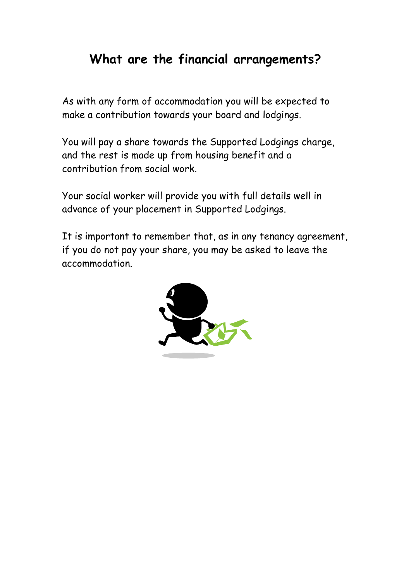## **What are the financial arrangements?**

As with any form of accommodation you will be expected to make a contribution towards your board and lodgings.

You will pay a share towards the Supported Lodgings charge, and the rest is made up from housing benefit and a contribution from social work.

Your social worker will provide you with full details well in advance of your placement in Supported Lodgings.

It is important to remember that, as in any tenancy agreement, if you do not pay your share, you may be asked to leave the accommodation.

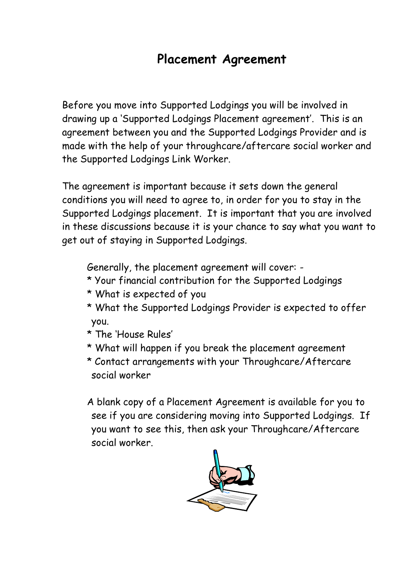#### **Placement Agreement**

Before you move into Supported Lodgings you will be involved in drawing up a 'Supported Lodgings Placement agreement'. This is an agreement between you and the Supported Lodgings Provider and is made with the help of your throughcare/aftercare social worker and the Supported Lodgings Link Worker.

The agreement is important because it sets down the general conditions you will need to agree to, in order for you to stay in the Supported Lodgings placement. It is important that you are involved in these discussions because it is your chance to say what you want to get out of staying in Supported Lodgings.

Generally, the placement agreement will cover: -

- \* Your financial contribution for the Supported Lodgings
- \* What is expected of you
- \* What the Supported Lodgings Provider is expected to offer you.
- \* The 'House Rules'
- \* What will happen if you break the placement agreement
- \* Contact arrangements with your Throughcare/Aftercare social worker

A blank copy of a Placement Agreement is available for you to see if you are considering moving into Supported Lodgings. If you want to see this, then ask your Throughcare/Aftercare social worker.

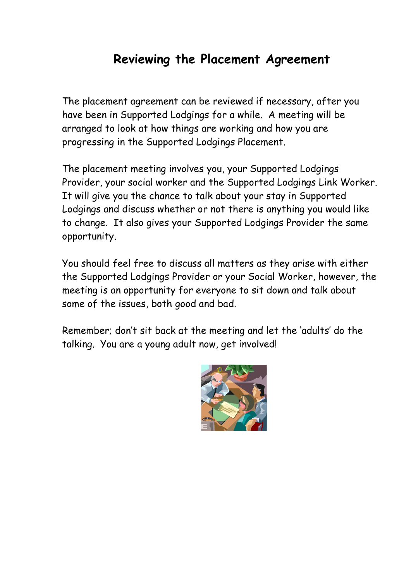### **Reviewing the Placement Agreement**

The placement agreement can be reviewed if necessary, after you have been in Supported Lodgings for a while. A meeting will be arranged to look at how things are working and how you are progressing in the Supported Lodgings Placement.

The placement meeting involves you, your Supported Lodgings Provider, your social worker and the Supported Lodgings Link Worker. It will give you the chance to talk about your stay in Supported Lodgings and discuss whether or not there is anything you would like to change. It also gives your Supported Lodgings Provider the same opportunity.

You should feel free to discuss all matters as they arise with either the Supported Lodgings Provider or your Social Worker, however, the meeting is an opportunity for everyone to sit down and talk about some of the issues, both good and bad.

Remember; don't sit back at the meeting and let the 'adults' do the talking. You are a young adult now, get involved!

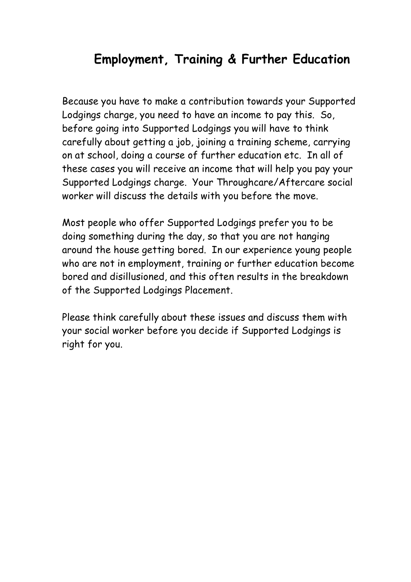## **Employment, Training & Further Education**

Because you have to make a contribution towards your Supported Lodgings charge, you need to have an income to pay this. So, before going into Supported Lodgings you will have to think carefully about getting a job, joining a training scheme, carrying on at school, doing a course of further education etc. In all of these cases you will receive an income that will help you pay your Supported Lodgings charge. Your Throughcare/Aftercare social worker will discuss the details with you before the move.

Most people who offer Supported Lodgings prefer you to be doing something during the day, so that you are not hanging around the house getting bored. In our experience young people who are not in employment, training or further education become bored and disillusioned, and this often results in the breakdown of the Supported Lodgings Placement.

Please think carefully about these issues and discuss them with your social worker before you decide if Supported Lodgings is right for you.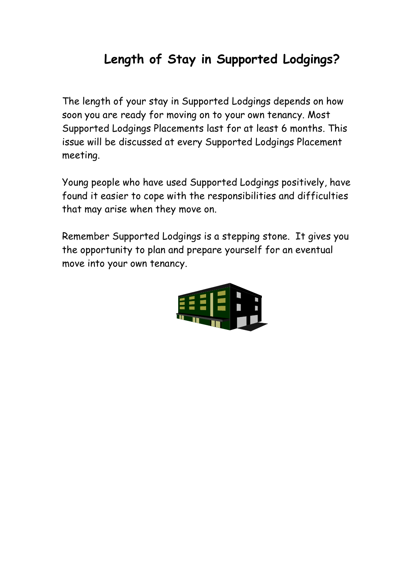## **Length of Stay in Supported Lodgings?**

The length of your stay in Supported Lodgings depends on how soon you are ready for moving on to your own tenancy. Most Supported Lodgings Placements last for at least 6 months. This issue will be discussed at every Supported Lodgings Placement meeting.

Young people who have used Supported Lodgings positively, have found it easier to cope with the responsibilities and difficulties that may arise when they move on.

Remember Supported Lodgings is a stepping stone. It gives you the opportunity to plan and prepare yourself for an eventual move into your own tenancy.

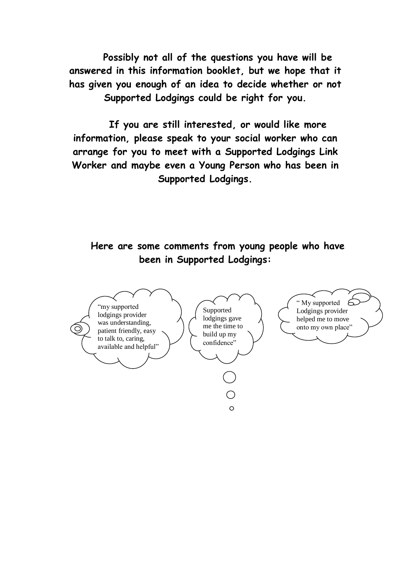**Possibly not all of the questions you have will be answered in this information booklet, but we hope that it has given you enough of an idea to decide whether or not Supported Lodgings could be right for you.**

**If you are still interested, or would like more information, please speak to your social worker who can arrange for you to meet with a Supported Lodgings Link Worker and maybe even a Young Person who has been in Supported Lodgings.**

**Here are some comments from young people who have been in Supported Lodgings:**